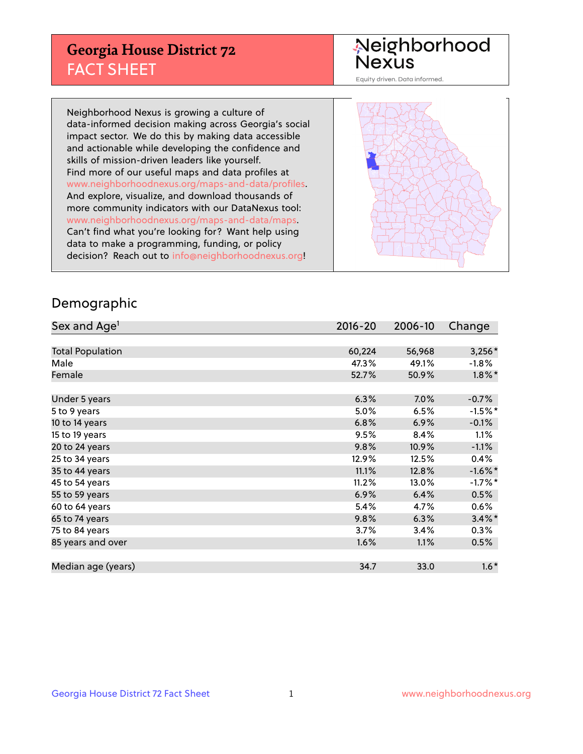## **Georgia House District 72** FACT SHEET

# Neighborhood<br>Nexus

Equity driven. Data informed.

Neighborhood Nexus is growing a culture of data-informed decision making across Georgia's social impact sector. We do this by making data accessible and actionable while developing the confidence and skills of mission-driven leaders like yourself. Find more of our useful maps and data profiles at www.neighborhoodnexus.org/maps-and-data/profiles. And explore, visualize, and download thousands of more community indicators with our DataNexus tool: www.neighborhoodnexus.org/maps-and-data/maps. Can't find what you're looking for? Want help using data to make a programming, funding, or policy decision? Reach out to [info@neighborhoodnexus.org!](mailto:info@neighborhoodnexus.org)



### Demographic

| Sex and Age <sup>1</sup> | $2016 - 20$ | 2006-10 | Change    |
|--------------------------|-------------|---------|-----------|
|                          |             |         |           |
| <b>Total Population</b>  | 60,224      | 56,968  | $3,256*$  |
| Male                     | 47.3%       | 49.1%   | $-1.8\%$  |
| Female                   | 52.7%       | 50.9%   | $1.8\%$ * |
|                          |             |         |           |
| Under 5 years            | 6.3%        | $7.0\%$ | $-0.7%$   |
| 5 to 9 years             | 5.0%        | 6.5%    | $-1.5%$ * |
| 10 to 14 years           | 6.8%        | 6.9%    | $-0.1%$   |
| 15 to 19 years           | 9.5%        | 8.4%    | 1.1%      |
| 20 to 24 years           | 9.8%        | 10.9%   | $-1.1%$   |
| 25 to 34 years           | 12.9%       | 12.5%   | 0.4%      |
| 35 to 44 years           | 11.1%       | 12.8%   | $-1.6%$ * |
| 45 to 54 years           | 11.2%       | 13.0%   | $-1.7%$ * |
| 55 to 59 years           | 6.9%        | 6.4%    | 0.5%      |
| 60 to 64 years           | 5.4%        | 4.7%    | 0.6%      |
| 65 to 74 years           | 9.8%        | 6.3%    | $3.4\%$ * |
| 75 to 84 years           | 3.7%        | 3.4%    | $0.3\%$   |
| 85 years and over        | 1.6%        | 1.1%    | 0.5%      |
|                          |             |         |           |
| Median age (years)       | 34.7        | 33.0    | $1.6*$    |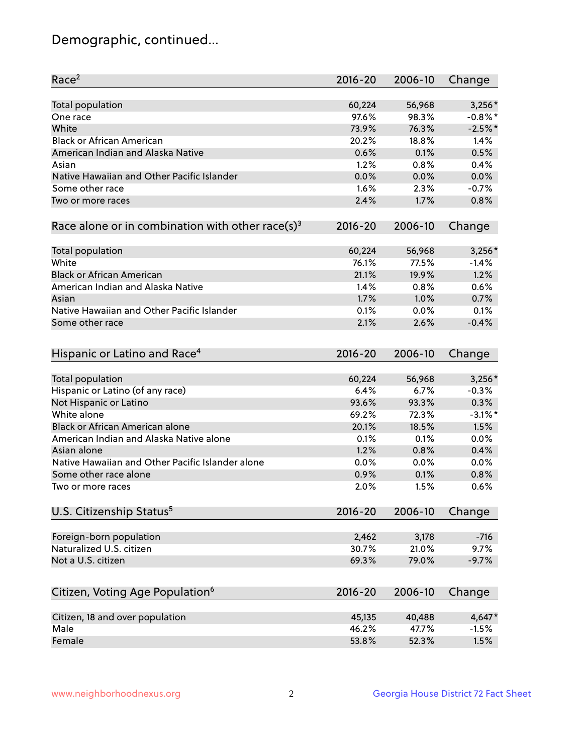## Demographic, continued...

| Race <sup>2</sup>                                            | $2016 - 20$ | 2006-10 | Change     |
|--------------------------------------------------------------|-------------|---------|------------|
| <b>Total population</b>                                      | 60,224      | 56,968  | $3,256*$   |
| One race                                                     | 97.6%       | 98.3%   | $-0.8\%$ * |
| White                                                        | 73.9%       | 76.3%   | $-2.5%$ *  |
| <b>Black or African American</b>                             | 20.2%       | 18.8%   | 1.4%       |
| American Indian and Alaska Native                            | 0.6%        | 0.1%    | 0.5%       |
| Asian                                                        | 1.2%        | 0.8%    | 0.4%       |
| Native Hawaiian and Other Pacific Islander                   | 0.0%        | 0.0%    | 0.0%       |
| Some other race                                              | 1.6%        | 2.3%    | $-0.7%$    |
| Two or more races                                            | 2.4%        | 1.7%    | 0.8%       |
| Race alone or in combination with other race(s) <sup>3</sup> | $2016 - 20$ | 2006-10 | Change     |
|                                                              |             |         |            |
| Total population                                             | 60,224      | 56,968  | $3,256*$   |
| White                                                        | 76.1%       | 77.5%   | $-1.4%$    |
| <b>Black or African American</b>                             | 21.1%       | 19.9%   | 1.2%       |
| American Indian and Alaska Native                            | 1.4%        | 0.8%    | 0.6%       |
| Asian                                                        | 1.7%        | 1.0%    | 0.7%       |
| Native Hawaiian and Other Pacific Islander                   | 0.1%        | 0.0%    | 0.1%       |
| Some other race                                              | 2.1%        | 2.6%    | $-0.4%$    |
|                                                              |             |         |            |
| Hispanic or Latino and Race <sup>4</sup>                     | $2016 - 20$ | 2006-10 | Change     |
| <b>Total population</b>                                      | 60,224      | 56,968  | $3,256*$   |
| Hispanic or Latino (of any race)                             | 6.4%        | 6.7%    | $-0.3%$    |
| Not Hispanic or Latino                                       | 93.6%       | 93.3%   | 0.3%       |
| White alone                                                  | 69.2%       | 72.3%   | $-3.1\%$ * |
| <b>Black or African American alone</b>                       | 20.1%       | 18.5%   | 1.5%       |
| American Indian and Alaska Native alone                      | 0.1%        | 0.1%    | 0.0%       |
| Asian alone                                                  | 1.2%        | 0.8%    | 0.4%       |
| Native Hawaiian and Other Pacific Islander alone             | 0.0%        | 0.0%    | 0.0%       |
| Some other race alone                                        | 0.9%        | 0.1%    | 0.8%       |
| Two or more races                                            | 2.0%        | 1.5%    | 0.6%       |
| U.S. Citizenship Status <sup>5</sup>                         | $2016 - 20$ | 2006-10 | Change     |
|                                                              |             |         |            |
| Foreign-born population                                      | 2,462       | 3,178   | $-716$     |
| Naturalized U.S. citizen                                     | 30.7%       | 21.0%   | 9.7%       |
| Not a U.S. citizen                                           | 69.3%       | 79.0%   | $-9.7%$    |
|                                                              |             |         |            |
| Citizen, Voting Age Population <sup>6</sup>                  | $2016 - 20$ | 2006-10 | Change     |
|                                                              |             |         |            |
| Citizen, 18 and over population                              | 45,135      | 40,488  | 4,647*     |
| Male                                                         | 46.2%       | 47.7%   | $-1.5%$    |
| Female                                                       | 53.8%       | 52.3%   | 1.5%       |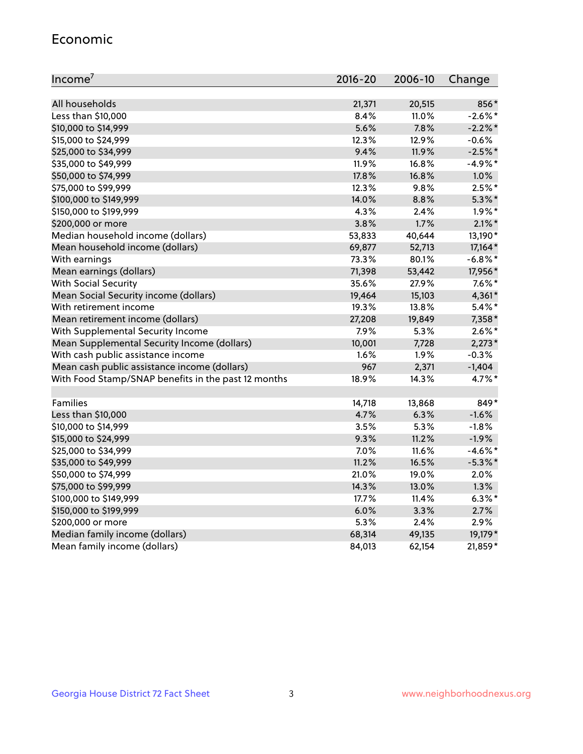#### Economic

| Income <sup>7</sup>                                 | 2016-20 | 2006-10 | Change     |
|-----------------------------------------------------|---------|---------|------------|
|                                                     |         |         |            |
| All households                                      | 21,371  | 20,515  | 856*       |
| Less than \$10,000                                  | 8.4%    | 11.0%   | $-2.6\%$ * |
| \$10,000 to \$14,999                                | 5.6%    | 7.8%    | $-2.2\%$ * |
| \$15,000 to \$24,999                                | 12.3%   | 12.9%   | $-0.6%$    |
| \$25,000 to \$34,999                                | 9.4%    | 11.9%   | $-2.5%$ *  |
| \$35,000 to \$49,999                                | 11.9%   | 16.8%   | $-4.9\%$ * |
| \$50,000 to \$74,999                                | 17.8%   | 16.8%   | 1.0%       |
| \$75,000 to \$99,999                                | 12.3%   | 9.8%    | $2.5%$ *   |
| \$100,000 to \$149,999                              | 14.0%   | 8.8%    | $5.3\%$ *  |
| \$150,000 to \$199,999                              | 4.3%    | 2.4%    | $1.9\%$ *  |
| \$200,000 or more                                   | 3.8%    | 1.7%    | $2.1\%$ *  |
| Median household income (dollars)                   | 53,833  | 40,644  | 13,190*    |
| Mean household income (dollars)                     | 69,877  | 52,713  | 17,164*    |
| With earnings                                       | 73.3%   | 80.1%   | $-6.8\%$ * |
| Mean earnings (dollars)                             | 71,398  | 53,442  | 17,956*    |
| <b>With Social Security</b>                         | 35.6%   | 27.9%   | $7.6\%$ *  |
| Mean Social Security income (dollars)               | 19,464  | 15,103  | 4,361*     |
| With retirement income                              | 19.3%   | 13.8%   | $5.4\%$ *  |
| Mean retirement income (dollars)                    | 27,208  | 19,849  | 7,358*     |
| With Supplemental Security Income                   | 7.9%    | 5.3%    | $2.6\%$ *  |
| Mean Supplemental Security Income (dollars)         | 10,001  | 7,728   | $2,273*$   |
| With cash public assistance income                  | 1.6%    | 1.9%    | $-0.3%$    |
| Mean cash public assistance income (dollars)        | 967     | 2,371   | $-1,404$   |
| With Food Stamp/SNAP benefits in the past 12 months | 18.9%   | 14.3%   | 4.7%*      |
|                                                     |         |         |            |
| Families                                            | 14,718  | 13,868  | 849*       |
| Less than \$10,000                                  | 4.7%    | 6.3%    | $-1.6%$    |
| \$10,000 to \$14,999                                | 3.5%    | 5.3%    | $-1.8%$    |
| \$15,000 to \$24,999                                | 9.3%    | 11.2%   | $-1.9%$    |
| \$25,000 to \$34,999                                | 7.0%    | 11.6%   | $-4.6\%$ * |
| \$35,000 to \$49,999                                | 11.2%   | 16.5%   | $-5.3\%$ * |
| \$50,000 to \$74,999                                | 21.0%   | 19.0%   | 2.0%       |
| \$75,000 to \$99,999                                | 14.3%   | 13.0%   | 1.3%       |
| \$100,000 to \$149,999                              | 17.7%   | 11.4%   | $6.3\%$ *  |
| \$150,000 to \$199,999                              | 6.0%    | 3.3%    | 2.7%       |
| \$200,000 or more                                   | 5.3%    | 2.4%    | 2.9%       |
| Median family income (dollars)                      | 68,314  | 49,135  | 19,179*    |
| Mean family income (dollars)                        | 84,013  | 62,154  | 21,859*    |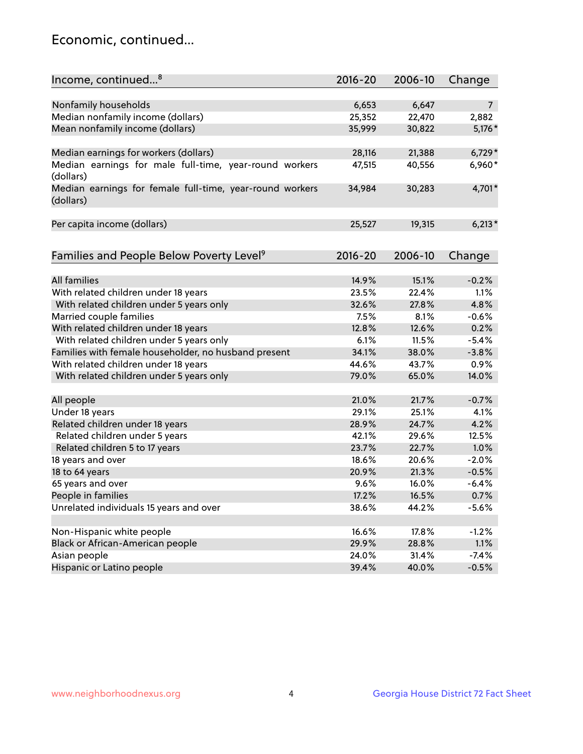## Economic, continued...

| Income, continued <sup>8</sup>                                        | $2016 - 20$ | 2006-10 | Change         |
|-----------------------------------------------------------------------|-------------|---------|----------------|
|                                                                       |             |         |                |
| Nonfamily households                                                  | 6,653       | 6,647   | $\overline{7}$ |
| Median nonfamily income (dollars)                                     | 25,352      | 22,470  | 2,882          |
| Mean nonfamily income (dollars)                                       | 35,999      | 30,822  | 5,176 *        |
| Median earnings for workers (dollars)                                 | 28,116      | 21,388  | $6,729*$       |
| Median earnings for male full-time, year-round workers                | 47,515      | 40,556  | 6,960*         |
| (dollars)                                                             |             |         |                |
| Median earnings for female full-time, year-round workers<br>(dollars) | 34,984      | 30,283  | 4,701*         |
| Per capita income (dollars)                                           | 25,527      | 19,315  | $6,213*$       |
|                                                                       |             |         |                |
| Families and People Below Poverty Level <sup>9</sup>                  | $2016 - 20$ | 2006-10 | Change         |
|                                                                       |             |         |                |
| <b>All families</b>                                                   | 14.9%       | 15.1%   | $-0.2%$        |
| With related children under 18 years                                  | 23.5%       | 22.4%   | 1.1%           |
| With related children under 5 years only                              | 32.6%       | 27.8%   | 4.8%           |
| Married couple families                                               | 7.5%        | 8.1%    | $-0.6%$        |
| With related children under 18 years                                  | 12.8%       | 12.6%   | 0.2%           |
| With related children under 5 years only                              | 6.1%        | 11.5%   | $-5.4%$        |
| Families with female householder, no husband present                  | 34.1%       | 38.0%   | $-3.8%$        |
| With related children under 18 years                                  | 44.6%       | 43.7%   | 0.9%           |
| With related children under 5 years only                              | 79.0%       | 65.0%   | 14.0%          |
|                                                                       | 21.0%       | 21.7%   | $-0.7%$        |
| All people                                                            |             |         |                |
| Under 18 years                                                        | 29.1%       | 25.1%   | 4.1%           |
| Related children under 18 years                                       | 28.9%       | 24.7%   | 4.2%           |
| Related children under 5 years                                        | 42.1%       | 29.6%   | 12.5%          |
| Related children 5 to 17 years                                        | 23.7%       | 22.7%   | 1.0%           |
| 18 years and over                                                     | 18.6%       | 20.6%   | $-2.0%$        |
| 18 to 64 years                                                        | 20.9%       | 21.3%   | $-0.5%$        |
| 65 years and over                                                     | 9.6%        | 16.0%   | $-6.4%$        |
| People in families                                                    | 17.2%       | 16.5%   | 0.7%           |
| Unrelated individuals 15 years and over                               | 38.6%       | 44.2%   | $-5.6%$        |
| Non-Hispanic white people                                             | 16.6%       | 17.8%   | $-1.2%$        |
| Black or African-American people                                      | 29.9%       | 28.8%   | 1.1%           |
| Asian people                                                          | 24.0%       | 31.4%   | $-7.4%$        |
| Hispanic or Latino people                                             | 39.4%       | 40.0%   | $-0.5%$        |
|                                                                       |             |         |                |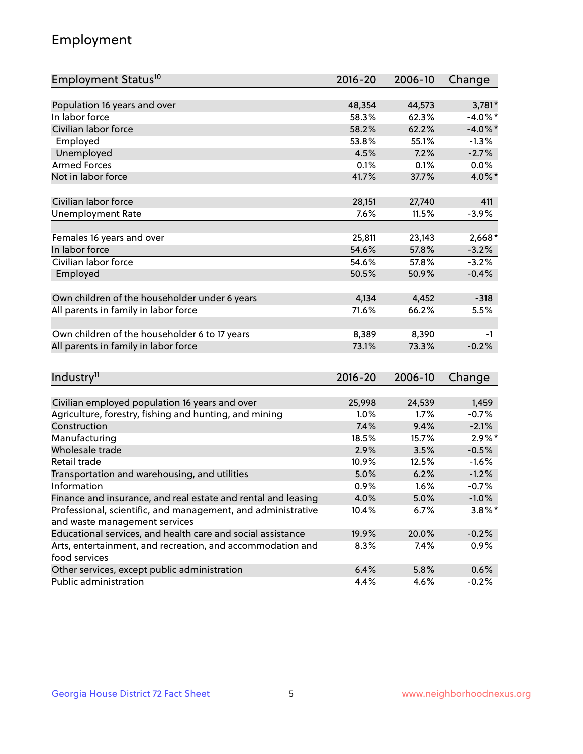## Employment

| Employment Status <sup>10</sup>                               | $2016 - 20$ | 2006-10 | Change     |
|---------------------------------------------------------------|-------------|---------|------------|
|                                                               |             |         |            |
| Population 16 years and over                                  | 48,354      | 44,573  | 3,781*     |
| In labor force                                                | 58.3%       | 62.3%   | $-4.0\%$ * |
| Civilian labor force                                          | 58.2%       | 62.2%   | $-4.0\%$ * |
| Employed                                                      | 53.8%       | 55.1%   | $-1.3%$    |
| Unemployed                                                    | 4.5%        | 7.2%    | $-2.7%$    |
| <b>Armed Forces</b>                                           | 0.1%        | 0.1%    | 0.0%       |
| Not in labor force                                            | 41.7%       | 37.7%   | 4.0%*      |
|                                                               |             |         |            |
| Civilian labor force                                          | 28,151      | 27,740  | 411        |
| <b>Unemployment Rate</b>                                      | 7.6%        | 11.5%   | $-3.9%$    |
| Females 16 years and over                                     | 25,811      | 23,143  | 2,668*     |
| In labor force                                                | 54.6%       | 57.8%   | $-3.2%$    |
| Civilian labor force                                          | 54.6%       | 57.8%   | $-3.2%$    |
| Employed                                                      | 50.5%       | 50.9%   | $-0.4%$    |
|                                                               |             |         |            |
| Own children of the householder under 6 years                 | 4,134       | 4,452   | $-318$     |
| All parents in family in labor force                          | 71.6%       | 66.2%   | 5.5%       |
|                                                               |             |         |            |
| Own children of the householder 6 to 17 years                 | 8,389       | 8,390   | -1         |
| All parents in family in labor force                          | 73.1%       | 73.3%   | $-0.2%$    |
|                                                               |             |         |            |
| Industry <sup>11</sup>                                        | $2016 - 20$ | 2006-10 | Change     |
|                                                               |             |         |            |
| Civilian employed population 16 years and over                | 25,998      | 24,539  | 1,459      |
| Agriculture, forestry, fishing and hunting, and mining        | 1.0%        | 1.7%    | $-0.7%$    |
| Construction                                                  | 7.4%        | 9.4%    | $-2.1%$    |
| Manufacturing                                                 | 18.5%       | 15.7%   | $2.9\%$ *  |
| Wholesale trade                                               | 2.9%        | 3.5%    | $-0.5%$    |
| Retail trade                                                  | 10.9%       | 12.5%   | $-1.6%$    |
| Transportation and warehousing, and utilities                 | 5.0%        | 6.2%    | $-1.2%$    |
| Information                                                   | 0.9%        | 1.6%    | $-0.7%$    |
| Finance and insurance, and real estate and rental and leasing | 4.0%        | 5.0%    | $-1.0%$    |
| Professional, scientific, and management, and administrative  | 10.4%       | 6.7%    | $3.8\%$ *  |
| and waste management services                                 |             |         |            |
| Educational services, and health care and social assistance   | 19.9%       | 20.0%   | $-0.2%$    |
| Arts, entertainment, and recreation, and accommodation and    | 8.3%        | 7.4%    | 0.9%       |
| food services                                                 |             |         |            |
| Other services, except public administration                  | 6.4%        | 5.8%    | 0.6%       |
| Public administration                                         | 4.4%        | 4.6%    | $-0.2%$    |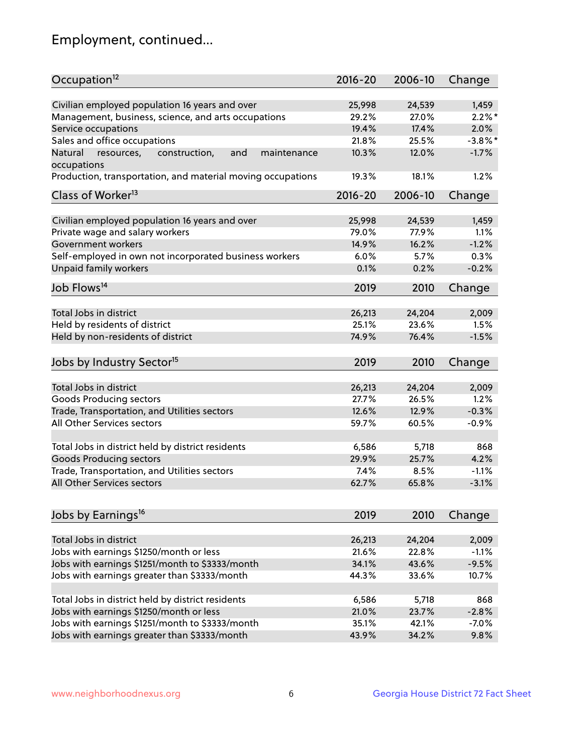## Employment, continued...

| Occupation <sup>12</sup>                                                    | $2016 - 20$ | 2006-10 | Change             |
|-----------------------------------------------------------------------------|-------------|---------|--------------------|
| Civilian employed population 16 years and over                              |             |         |                    |
|                                                                             | 25,998      | 24,539  | 1,459<br>$2.2\%$ * |
| Management, business, science, and arts occupations                         | 29.2%       | 27.0%   |                    |
| Service occupations                                                         | 19.4%       | 17.4%   | 2.0%               |
| Sales and office occupations                                                | 21.8%       | 25.5%   | $-3.8\%$ *         |
| Natural<br>and<br>resources,<br>construction,<br>maintenance<br>occupations | 10.3%       | 12.0%   | $-1.7%$            |
| Production, transportation, and material moving occupations                 | 19.3%       | 18.1%   | 1.2%               |
| Class of Worker <sup>13</sup>                                               | 2016-20     | 2006-10 | Change             |
|                                                                             |             |         |                    |
| Civilian employed population 16 years and over                              | 25,998      | 24,539  | 1,459              |
| Private wage and salary workers                                             | 79.0%       | 77.9%   | 1.1%               |
| Government workers                                                          | 14.9%       | 16.2%   | $-1.2%$            |
| Self-employed in own not incorporated business workers                      | $6.0\%$     | 5.7%    | 0.3%               |
| Unpaid family workers                                                       | 0.1%        | 0.2%    | $-0.2%$            |
| Job Flows <sup>14</sup>                                                     | 2019        | 2010    | Change             |
|                                                                             |             |         |                    |
| Total Jobs in district                                                      | 26,213      | 24,204  | 2,009              |
| Held by residents of district                                               | 25.1%       | 23.6%   | 1.5%               |
| Held by non-residents of district                                           | 74.9%       | 76.4%   | $-1.5%$            |
| Jobs by Industry Sector <sup>15</sup>                                       | 2019        | 2010    | Change             |
|                                                                             |             |         |                    |
| Total Jobs in district                                                      | 26,213      | 24,204  | 2,009              |
| Goods Producing sectors                                                     | 27.7%       | 26.5%   | 1.2%               |
| Trade, Transportation, and Utilities sectors                                | 12.6%       | 12.9%   | $-0.3%$            |
| All Other Services sectors                                                  | 59.7%       | 60.5%   | $-0.9%$            |
|                                                                             |             |         |                    |
| Total Jobs in district held by district residents                           | 6,586       | 5,718   | 868                |
| <b>Goods Producing sectors</b>                                              | 29.9%       | 25.7%   | 4.2%               |
| Trade, Transportation, and Utilities sectors                                | 7.4%        | 8.5%    | $-1.1%$            |
| All Other Services sectors                                                  | 62.7%       | 65.8%   | $-3.1%$            |
|                                                                             |             |         |                    |
| Jobs by Earnings <sup>16</sup>                                              | 2019        | 2010    | Change             |
|                                                                             |             |         |                    |
| Total Jobs in district                                                      | 26,213      | 24,204  | 2,009              |
| Jobs with earnings \$1250/month or less                                     | 21.6%       | 22.8%   | $-1.1%$            |
| Jobs with earnings \$1251/month to \$3333/month                             | 34.1%       | 43.6%   | $-9.5%$            |
| Jobs with earnings greater than \$3333/month                                | 44.3%       | 33.6%   | 10.7%              |
| Total Jobs in district held by district residents                           | 6,586       | 5,718   | 868                |
| Jobs with earnings \$1250/month or less                                     | 21.0%       | 23.7%   | $-2.8%$            |
| Jobs with earnings \$1251/month to \$3333/month                             | 35.1%       | 42.1%   | $-7.0%$            |
| Jobs with earnings greater than \$3333/month                                | 43.9%       | 34.2%   | 9.8%               |
|                                                                             |             |         |                    |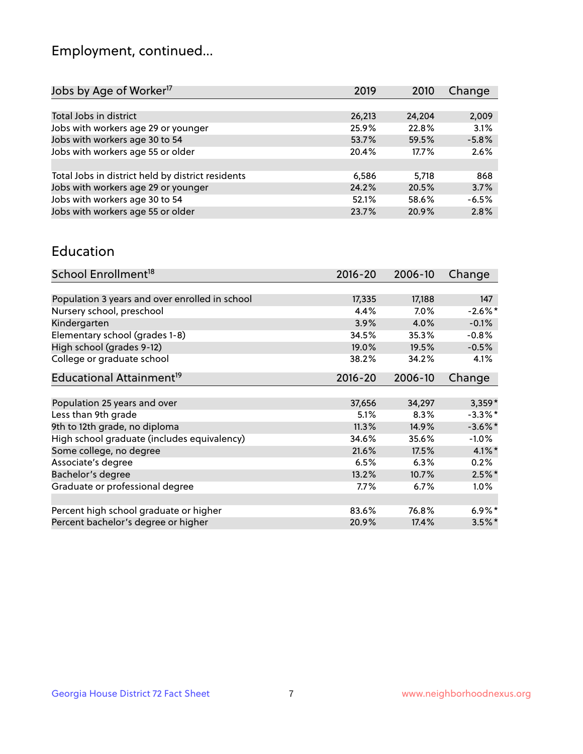## Employment, continued...

| 2019   | 2010   | Change  |
|--------|--------|---------|
|        |        |         |
| 26,213 | 24,204 | 2,009   |
| 25.9%  | 22.8%  | 3.1%    |
| 53.7%  | 59.5%  | $-5.8%$ |
| 20.4%  | 17.7%  | 2.6%    |
|        |        |         |
| 6,586  | 5.718  | 868     |
| 24.2%  | 20.5%  | 3.7%    |
| 52.1%  | 58.6%  | $-6.5%$ |
| 23.7%  | 20.9%  | 2.8%    |
|        |        |         |

#### Education

| School Enrollment <sup>18</sup>                | $2016 - 20$ | 2006-10 | Change     |
|------------------------------------------------|-------------|---------|------------|
|                                                |             |         |            |
| Population 3 years and over enrolled in school | 17,335      | 17,188  | 147        |
| Nursery school, preschool                      | 4.4%        | $7.0\%$ | $-2.6\%$ * |
| Kindergarten                                   | 3.9%        | 4.0%    | $-0.1%$    |
| Elementary school (grades 1-8)                 | 34.5%       | 35.3%   | $-0.8%$    |
| High school (grades 9-12)                      | 19.0%       | 19.5%   | $-0.5%$    |
| College or graduate school                     | 38.2%       | 34.2%   | 4.1%       |
| Educational Attainment <sup>19</sup>           | $2016 - 20$ | 2006-10 | Change     |
|                                                |             |         |            |
| Population 25 years and over                   | 37,656      | 34,297  | $3,359*$   |
| Less than 9th grade                            | 5.1%        | 8.3%    | $-3.3\%$ * |
| 9th to 12th grade, no diploma                  | 11.3%       | 14.9%   | $-3.6\%$ * |
| High school graduate (includes equivalency)    | 34.6%       | 35.6%   | $-1.0\%$   |
| Some college, no degree                        | 21.6%       | 17.5%   | $4.1\%$ *  |
| Associate's degree                             | 6.5%        | 6.3%    | 0.2%       |
| Bachelor's degree                              | 13.2%       | 10.7%   | $2.5%$ *   |
| Graduate or professional degree                | 7.7%        | $6.7\%$ | 1.0%       |
|                                                |             |         |            |
| Percent high school graduate or higher         | 83.6%       | 76.8%   | $6.9\%$ *  |
| Percent bachelor's degree or higher            | 20.9%       | 17.4%   | $3.5\%$ *  |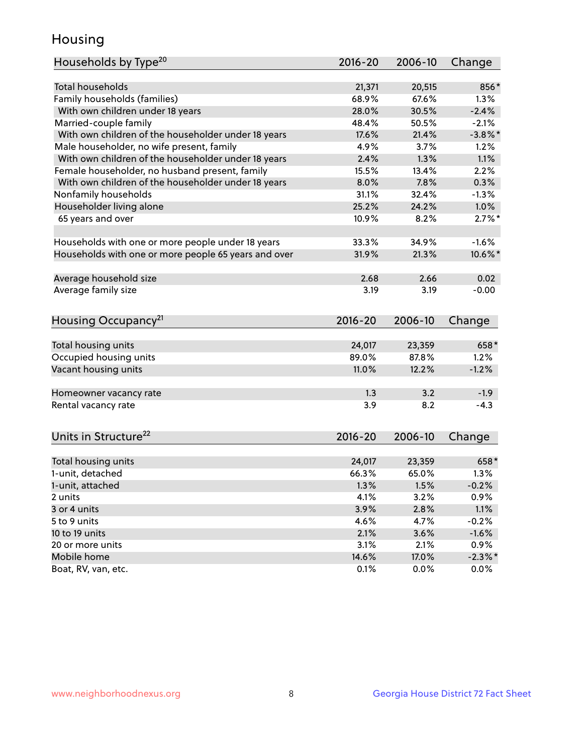## Housing

| Households by Type <sup>20</sup>                     | 2016-20     | 2006-10 | Change     |
|------------------------------------------------------|-------------|---------|------------|
|                                                      |             |         |            |
| Total households                                     | 21,371      | 20,515  | 856*       |
| Family households (families)                         | 68.9%       | 67.6%   | 1.3%       |
| With own children under 18 years                     | 28.0%       | 30.5%   | $-2.4%$    |
| Married-couple family                                | 48.4%       | 50.5%   | $-2.1%$    |
| With own children of the householder under 18 years  | 17.6%       | 21.4%   | $-3.8\%$ * |
| Male householder, no wife present, family            | 4.9%        | 3.7%    | 1.2%       |
| With own children of the householder under 18 years  | 2.4%        | 1.3%    | 1.1%       |
| Female householder, no husband present, family       | 15.5%       | 13.4%   | 2.2%       |
| With own children of the householder under 18 years  | 8.0%        | 7.8%    | 0.3%       |
| Nonfamily households                                 | 31.1%       | 32.4%   | $-1.3%$    |
| Householder living alone                             | 25.2%       | 24.2%   | 1.0%       |
| 65 years and over                                    | 10.9%       | 8.2%    | $2.7\%$ *  |
| Households with one or more people under 18 years    | 33.3%       | 34.9%   | $-1.6%$    |
| Households with one or more people 65 years and over | 31.9%       | 21.3%   | 10.6%*     |
|                                                      |             |         |            |
| Average household size                               | 2.68        | 2.66    | 0.02       |
| Average family size                                  | 3.19        | 3.19    | $-0.00$    |
| Housing Occupancy <sup>21</sup>                      | $2016 - 20$ | 2006-10 | Change     |
| Total housing units                                  | 24,017      | 23,359  | 658*       |
| Occupied housing units                               | 89.0%       | 87.8%   | 1.2%       |
| Vacant housing units                                 | 11.0%       | 12.2%   | $-1.2%$    |
|                                                      |             |         |            |
| Homeowner vacancy rate                               | 1.3         | 3.2     | $-1.9$     |
| Rental vacancy rate                                  | 3.9         | 8.2     | $-4.3$     |
| Units in Structure <sup>22</sup>                     | $2016 - 20$ | 2006-10 | Change     |
|                                                      |             |         |            |
| Total housing units                                  | 24,017      | 23,359  | 658*       |
| 1-unit, detached                                     | 66.3%       | 65.0%   | 1.3%       |
| 1-unit, attached                                     | 1.3%        | 1.5%    | $-0.2%$    |
| 2 units                                              | 4.1%        | 3.2%    | 0.9%       |
| 3 or 4 units                                         | 3.9%        | 2.8%    | 1.1%       |
| 5 to 9 units                                         | 4.6%        | 4.7%    | $-0.2%$    |
| 10 to 19 units                                       | 2.1%        | 3.6%    | $-1.6%$    |
| 20 or more units                                     | 3.1%        | 2.1%    | 0.9%       |
| Mobile home                                          | 14.6%       | 17.0%   | $-2.3\%$ * |
| Boat, RV, van, etc.                                  | 0.1%        | 0.0%    | $0.0\%$    |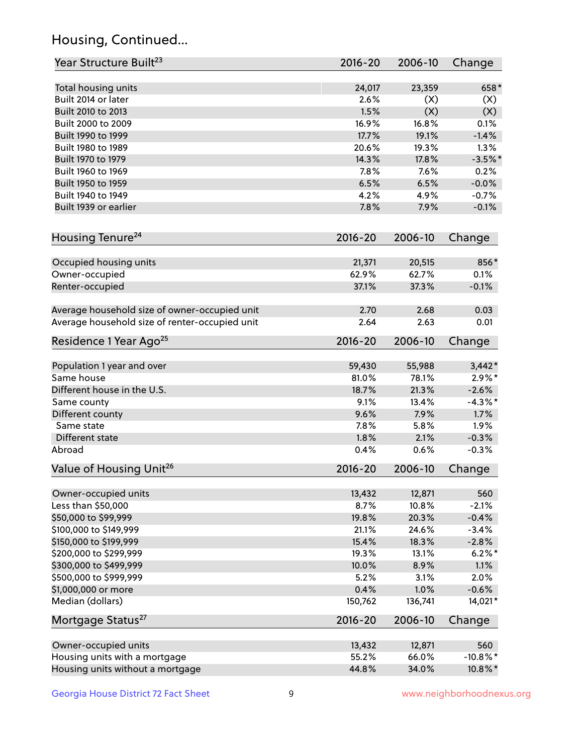## Housing, Continued...

| Year Structure Built <sup>23</sup>             | 2016-20     | 2006-10 | Change      |
|------------------------------------------------|-------------|---------|-------------|
| Total housing units                            | 24,017      | 23,359  | 658*        |
| Built 2014 or later                            | 2.6%        | (X)     | (X)         |
| Built 2010 to 2013                             | 1.5%        | (X)     | (X)         |
| Built 2000 to 2009                             | 16.9%       | 16.8%   | 0.1%        |
| Built 1990 to 1999                             | 17.7%       | 19.1%   | $-1.4%$     |
| Built 1980 to 1989                             | 20.6%       | 19.3%   | 1.3%        |
| Built 1970 to 1979                             | 14.3%       | 17.8%   | $-3.5%$ *   |
| Built 1960 to 1969                             | 7.8%        | 7.6%    | 0.2%        |
| Built 1950 to 1959                             | 6.5%        | 6.5%    | $-0.0%$     |
| Built 1940 to 1949                             | 4.2%        | 4.9%    | $-0.7%$     |
| Built 1939 or earlier                          | 7.8%        | 7.9%    | $-0.1%$     |
| Housing Tenure <sup>24</sup>                   | $2016 - 20$ | 2006-10 | Change      |
|                                                |             |         |             |
| Occupied housing units                         | 21,371      | 20,515  | 856*        |
| Owner-occupied                                 | 62.9%       | 62.7%   | 0.1%        |
| Renter-occupied                                | 37.1%       | 37.3%   | $-0.1%$     |
| Average household size of owner-occupied unit  | 2.70        | 2.68    | 0.03        |
| Average household size of renter-occupied unit | 2.64        | 2.63    | 0.01        |
| Residence 1 Year Ago <sup>25</sup>             | $2016 - 20$ | 2006-10 | Change      |
| Population 1 year and over                     | 59,430      | 55,988  | $3,442*$    |
| Same house                                     | 81.0%       | 78.1%   | $2.9\%*$    |
| Different house in the U.S.                    | 18.7%       | 21.3%   | $-2.6%$     |
| Same county                                    | 9.1%        | 13.4%   | $-4.3\%$ *  |
| Different county                               | 9.6%        | 7.9%    | 1.7%        |
| Same state                                     | 7.8%        | 5.8%    | 1.9%        |
| Different state                                | 1.8%        | 2.1%    | $-0.3%$     |
| Abroad                                         | 0.4%        | 0.6%    | $-0.3%$     |
| Value of Housing Unit <sup>26</sup>            | 2016-20     | 2006-10 | Change      |
|                                                |             |         |             |
| Owner-occupied units                           | 13,432      | 12,871  | 560         |
| Less than \$50,000                             | 8.7%        | 10.8%   | $-2.1%$     |
| \$50,000 to \$99,999                           | 19.8%       | 20.3%   | $-0.4%$     |
| \$100,000 to \$149,999                         | 21.1%       | 24.6%   | $-3.4%$     |
| \$150,000 to \$199,999                         | 15.4%       | 18.3%   | $-2.8%$     |
| \$200,000 to \$299,999                         | 19.3%       | 13.1%   | $6.2\%$ *   |
| \$300,000 to \$499,999                         | 10.0%       | 8.9%    | 1.1%        |
| \$500,000 to \$999,999                         | 5.2%        | 3.1%    | 2.0%        |
| \$1,000,000 or more                            | 0.4%        | 1.0%    | $-0.6%$     |
| Median (dollars)                               | 150,762     | 136,741 | 14,021*     |
| Mortgage Status <sup>27</sup>                  | $2016 - 20$ | 2006-10 | Change      |
| Owner-occupied units                           | 13,432      | 12,871  | 560         |
| Housing units with a mortgage                  | 55.2%       | 66.0%   | $-10.8\%$ * |
| Housing units without a mortgage               | 44.8%       | 34.0%   | 10.8%*      |
|                                                |             |         |             |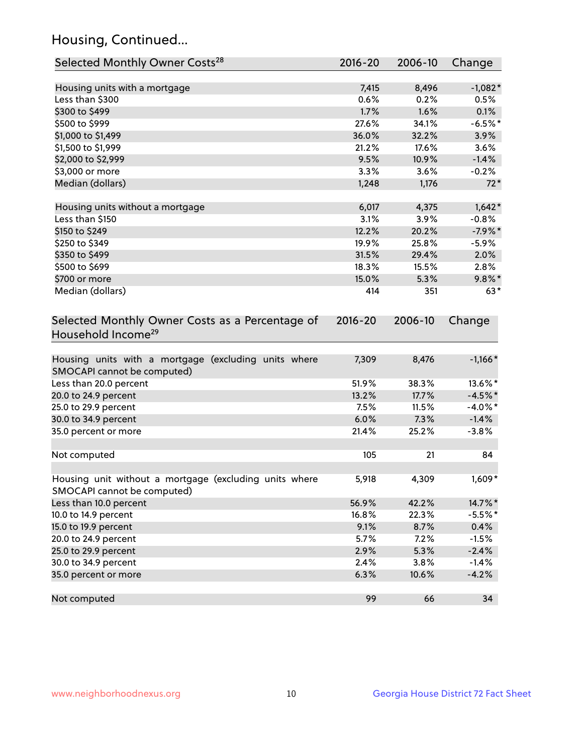## Housing, Continued...

| Selected Monthly Owner Costs <sup>28</sup>                                            | $2016 - 20$ | 2006-10 | Change     |
|---------------------------------------------------------------------------------------|-------------|---------|------------|
| Housing units with a mortgage                                                         | 7,415       | 8,496   | $-1,082*$  |
| Less than \$300                                                                       | 0.6%        | 0.2%    | 0.5%       |
| \$300 to \$499                                                                        | 1.7%        | 1.6%    | 0.1%       |
| \$500 to \$999                                                                        | 27.6%       | 34.1%   | $-6.5%$ *  |
| \$1,000 to \$1,499                                                                    | 36.0%       | 32.2%   | 3.9%       |
| \$1,500 to \$1,999                                                                    | 21.2%       | 17.6%   | 3.6%       |
| \$2,000 to \$2,999                                                                    | 9.5%        | 10.9%   | $-1.4%$    |
| \$3,000 or more                                                                       | 3.3%        | 3.6%    | $-0.2%$    |
| Median (dollars)                                                                      | 1,248       | 1,176   | $72*$      |
|                                                                                       |             |         |            |
| Housing units without a mortgage                                                      | 6,017       | 4,375   | $1,642*$   |
| Less than \$150                                                                       | 3.1%        | 3.9%    | $-0.8%$    |
| \$150 to \$249                                                                        | 12.2%       | 20.2%   | $-7.9%$ *  |
| \$250 to \$349                                                                        | 19.9%       | 25.8%   | $-5.9%$    |
| \$350 to \$499                                                                        | 31.5%       | 29.4%   | 2.0%       |
| \$500 to \$699                                                                        | 18.3%       | 15.5%   | 2.8%       |
| \$700 or more                                                                         | 15.0%       | 5.3%    | $9.8\%$ *  |
| Median (dollars)                                                                      | 414         | 351     | $63*$      |
| Selected Monthly Owner Costs as a Percentage of<br>Household Income <sup>29</sup>     | $2016 - 20$ | 2006-10 | Change     |
| Housing units with a mortgage (excluding units where<br>SMOCAPI cannot be computed)   | 7,309       | 8,476   | $-1,166*$  |
| Less than 20.0 percent                                                                | 51.9%       | 38.3%   | 13.6%*     |
| 20.0 to 24.9 percent                                                                  | 13.2%       | 17.7%   | $-4.5%$ *  |
| 25.0 to 29.9 percent                                                                  | 7.5%        | 11.5%   | $-4.0\%$ * |
| 30.0 to 34.9 percent                                                                  | 6.0%        | 7.3%    | $-1.4%$    |
| 35.0 percent or more                                                                  | 21.4%       | 25.2%   | $-3.8%$    |
| Not computed                                                                          | 105         | 21      | 84         |
| Housing unit without a mortgage (excluding units where<br>SMOCAPI cannot be computed) | 5,918       | 4,309   | 1,609*     |
| Less than 10.0 percent                                                                | 56.9%       | 42.2%   | 14.7%*     |
| 10.0 to 14.9 percent                                                                  | 16.8%       | 22.3%   | $-5.5%$ *  |
| 15.0 to 19.9 percent                                                                  | 9.1%        | 8.7%    | 0.4%       |
| 20.0 to 24.9 percent                                                                  | 5.7%        | 7.2%    | $-1.5%$    |
| 25.0 to 29.9 percent                                                                  | 2.9%        | 5.3%    | $-2.4%$    |
| 30.0 to 34.9 percent                                                                  | 2.4%        | 3.8%    | $-1.4%$    |
| 35.0 percent or more                                                                  | 6.3%        | 10.6%   | $-4.2%$    |
| Not computed                                                                          | 99          | 66      | 34         |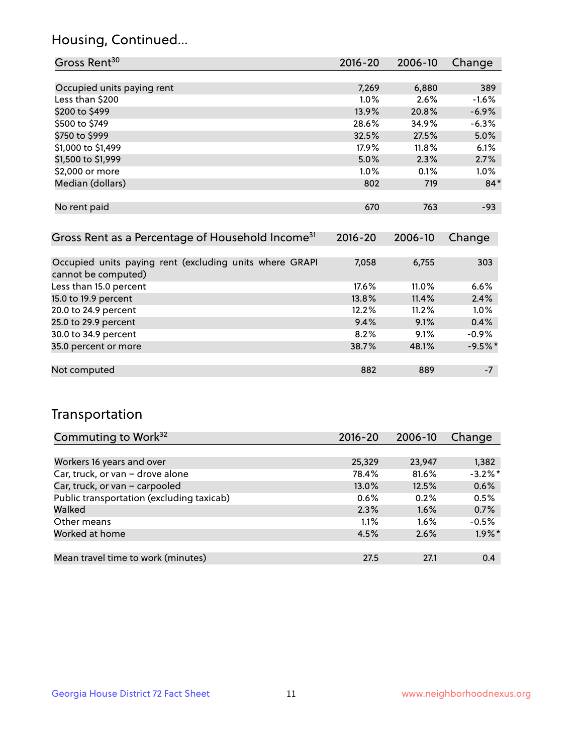## Housing, Continued...

| Gross Rent <sup>30</sup>   | 2016-20 | 2006-10 | Change  |
|----------------------------|---------|---------|---------|
|                            |         |         |         |
| Occupied units paying rent | 7,269   | 6,880   | 389     |
| Less than \$200            | $1.0\%$ | 2.6%    | $-1.6%$ |
| \$200 to \$499             | 13.9%   | 20.8%   | $-6.9%$ |
| \$500 to \$749             | 28.6%   | 34.9%   | $-6.3%$ |
| \$750 to \$999             | 32.5%   | 27.5%   | 5.0%    |
| \$1,000 to \$1,499         | 17.9%   | 11.8%   | 6.1%    |
| \$1,500 to \$1,999         | 5.0%    | 2.3%    | 2.7%    |
| \$2,000 or more            | $1.0\%$ | 0.1%    | 1.0%    |
| Median (dollars)           | 802     | 719     | $84*$   |
|                            |         |         |         |
| No rent paid               | 670     | 763     | $-93$   |

| Gross Rent as a Percentage of Household Income <sup>31</sup>                   | $2016 - 20$ | 2006-10 | Change    |
|--------------------------------------------------------------------------------|-------------|---------|-----------|
|                                                                                |             |         |           |
| Occupied units paying rent (excluding units where GRAPI<br>cannot be computed) | 7,058       | 6,755   | 303       |
| Less than 15.0 percent                                                         | 17.6%       | 11.0%   | 6.6%      |
| 15.0 to 19.9 percent                                                           | 13.8%       | 11.4%   | 2.4%      |
| 20.0 to 24.9 percent                                                           | 12.2%       | 11.2%   | 1.0%      |
| 25.0 to 29.9 percent                                                           | 9.4%        | 9.1%    | 0.4%      |
| 30.0 to 34.9 percent                                                           | 8.2%        | 9.1%    | $-0.9%$   |
| 35.0 percent or more                                                           | 38.7%       | 48.1%   | $-9.5%$ * |
| Not computed                                                                   | 882         | 889     | $-7$      |

## Transportation

| Commuting to Work <sup>32</sup>           | 2016-20 | 2006-10 | Change     |
|-------------------------------------------|---------|---------|------------|
|                                           |         |         |            |
| Workers 16 years and over                 | 25,329  | 23,947  | 1,382      |
| Car, truck, or van - drove alone          | 78.4%   | 81.6%   | $-3.2\%$ * |
| Car, truck, or van - carpooled            | 13.0%   | 12.5%   | 0.6%       |
| Public transportation (excluding taxicab) | 0.6%    | 0.2%    | 0.5%       |
| Walked                                    | 2.3%    | 1.6%    | 0.7%       |
| Other means                               | 1.1%    | $1.6\%$ | $-0.5%$    |
| Worked at home                            | 4.5%    | 2.6%    | $1.9\%$ *  |
|                                           |         |         |            |
| Mean travel time to work (minutes)        | 27.5    | 27.1    | 0.4        |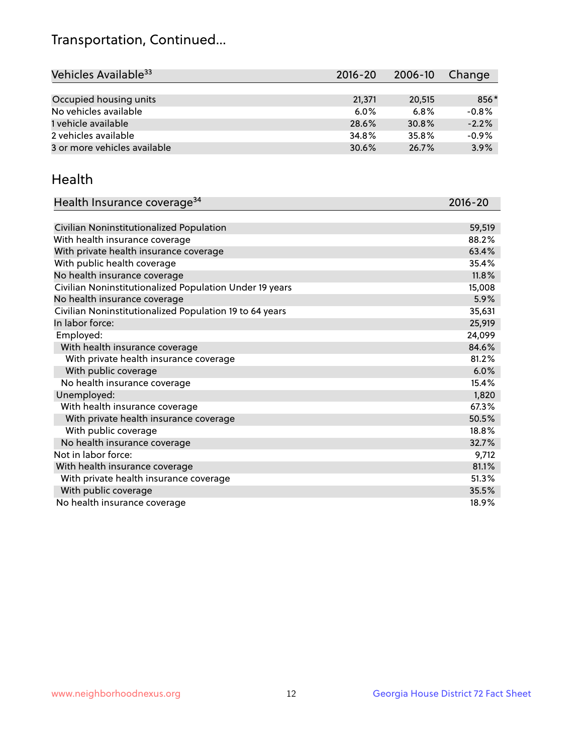## Transportation, Continued...

| Vehicles Available <sup>33</sup> | $2016 - 20$ | 2006-10 | Change  |
|----------------------------------|-------------|---------|---------|
|                                  |             |         |         |
| Occupied housing units           | 21,371      | 20.515  | 856*    |
| No vehicles available            | $6.0\%$     | 6.8%    | $-0.8%$ |
| 1 vehicle available              | 28.6%       | 30.8%   | $-2.2%$ |
| 2 vehicles available             | 34.8%       | 35.8%   | $-0.9%$ |
| 3 or more vehicles available     | 30.6%       | 26.7%   | 3.9%    |

#### Health

| Health Insurance coverage <sup>34</sup>                 | 2016-20 |
|---------------------------------------------------------|---------|
|                                                         |         |
| Civilian Noninstitutionalized Population                | 59,519  |
| With health insurance coverage                          | 88.2%   |
| With private health insurance coverage                  | 63.4%   |
| With public health coverage                             | 35.4%   |
| No health insurance coverage                            | 11.8%   |
| Civilian Noninstitutionalized Population Under 19 years | 15,008  |
| No health insurance coverage                            | 5.9%    |
| Civilian Noninstitutionalized Population 19 to 64 years | 35,631  |
| In labor force:                                         | 25,919  |
| Employed:                                               | 24,099  |
| With health insurance coverage                          | 84.6%   |
| With private health insurance coverage                  | 81.2%   |
| With public coverage                                    | 6.0%    |
| No health insurance coverage                            | 15.4%   |
| Unemployed:                                             | 1,820   |
| With health insurance coverage                          | 67.3%   |
| With private health insurance coverage                  | 50.5%   |
| With public coverage                                    | 18.8%   |
| No health insurance coverage                            | 32.7%   |
| Not in labor force:                                     | 9,712   |
| With health insurance coverage                          | 81.1%   |
| With private health insurance coverage                  | 51.3%   |
| With public coverage                                    | 35.5%   |
| No health insurance coverage                            | 18.9%   |